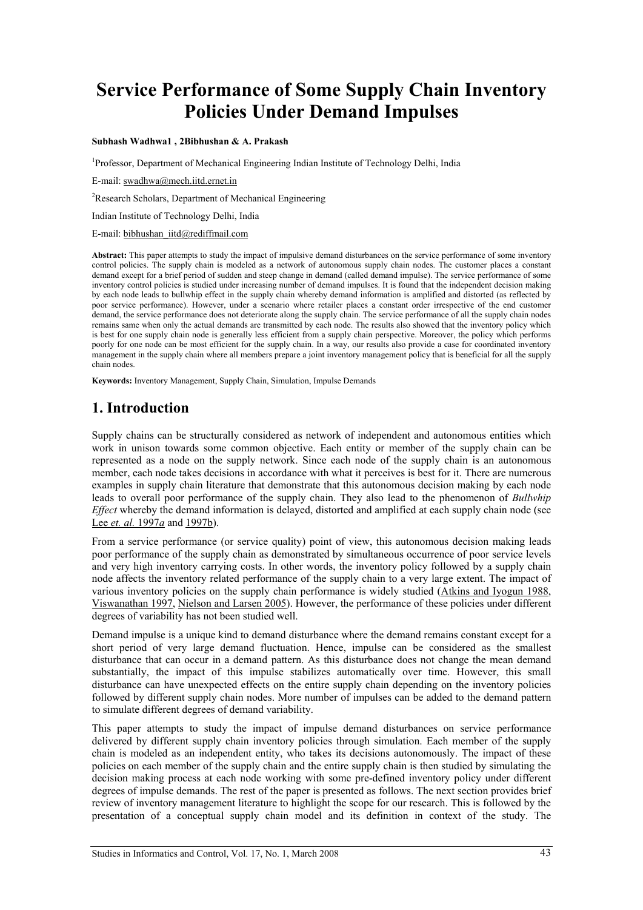# **Service Performance of Some Supply Chain Inventory Policies Under Demand Impulses**

#### **Subhash Wadhwa1 , 2Bibhushan & A. Prakash**

<sup>1</sup>Professor, Department of Mechanical Engineering Indian Institute of Technology Delhi, India

E-mail: swadhwa@mech.iitd.ernet.in

<sup>2</sup>Research Scholars, Department of Mechanical Engineering

Indian Institute of Technology Delhi, India

E-mail: bibhushan\_iitd@rediffmail.com

**Abstract:** This paper attempts to study the impact of impulsive demand disturbances on the service performance of some inventory control policies. The supply chain is modeled as a network of autonomous supply chain nodes. The customer places a constant demand except for a brief period of sudden and steep change in demand (called demand impulse). The service performance of some inventory control policies is studied under increasing number of demand impulses. It is found that the independent decision making by each node leads to bullwhip effect in the supply chain whereby demand information is amplified and distorted (as reflected by poor service performance). However, under a scenario where retailer places a constant order irrespective of the end customer demand, the service performance does not deteriorate along the supply chain. The service performance of all the supply chain nodes remains same when only the actual demands are transmitted by each node. The results also showed that the inventory policy which is best for one supply chain node is generally less efficient from a supply chain perspective. Moreover, the policy which performs poorly for one node can be most efficient for the supply chain. In a way, our results also provide a case for coordinated inventory management in the supply chain where all members prepare a joint inventory management policy that is beneficial for all the supply chain nodes.

**Keywords:** Inventory Management, Supply Chain, Simulation, Impulse Demands

## **1. Introduction**

Supply chains can be structurally considered as network of independent and autonomous entities which work in unison towards some common objective. Each entity or member of the supply chain can be represented as a node on the supply network. Since each node of the supply chain is an autonomous member, each node takes decisions in accordance with what it perceives is best for it. There are numerous examples in supply chain literature that demonstrate that this autonomous decision making by each node leads to overall poor performance of the supply chain. They also lead to the phenomenon of *Bullwhip Effect* whereby the demand information is delayed, distorted and amplified at each supply chain node (see Lee *et. al.* 1997*a* and 1997b).

From a service performance (or service quality) point of view, this autonomous decision making leads poor performance of the supply chain as demonstrated by simultaneous occurrence of poor service levels and very high inventory carrying costs. In other words, the inventory policy followed by a supply chain node affects the inventory related performance of the supply chain to a very large extent. The impact of various inventory policies on the supply chain performance is widely studied (Atkins and Iyogun 1988, Viswanathan 1997, Nielson and Larsen 2005). However, the performance of these policies under different degrees of variability has not been studied well.

Demand impulse is a unique kind to demand disturbance where the demand remains constant except for a short period of very large demand fluctuation. Hence, impulse can be considered as the smallest disturbance that can occur in a demand pattern. As this disturbance does not change the mean demand substantially, the impact of this impulse stabilizes automatically over time. However, this small disturbance can have unexpected effects on the entire supply chain depending on the inventory policies followed by different supply chain nodes. More number of impulses can be added to the demand pattern to simulate different degrees of demand variability.

This paper attempts to study the impact of impulse demand disturbances on service performance delivered by different supply chain inventory policies through simulation. Each member of the supply chain is modeled as an independent entity, who takes its decisions autonomously. The impact of these policies on each member of the supply chain and the entire supply chain is then studied by simulating the decision making process at each node working with some pre-defined inventory policy under different degrees of impulse demands. The rest of the paper is presented as follows. The next section provides brief review of inventory management literature to highlight the scope for our research. This is followed by the presentation of a conceptual supply chain model and its definition in context of the study. The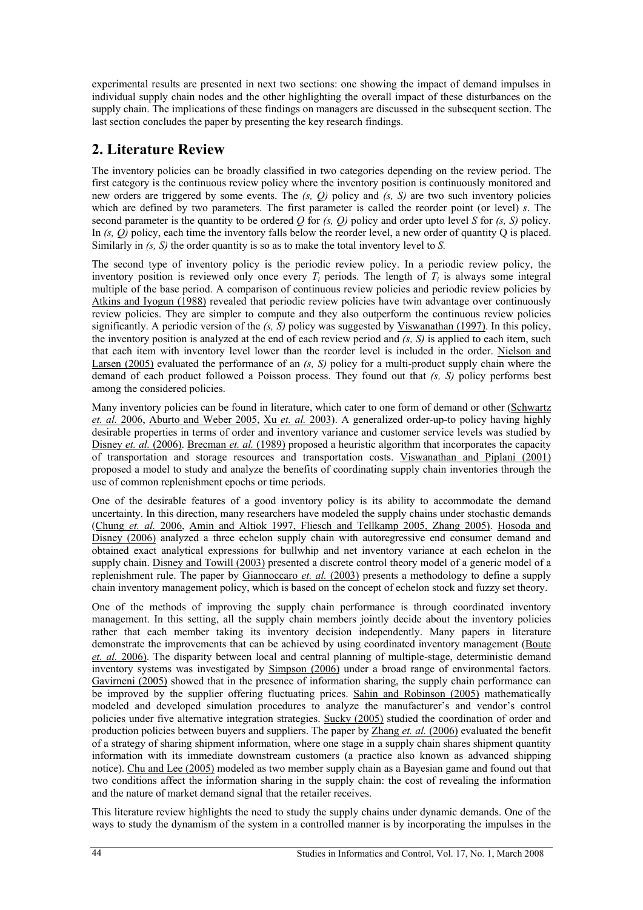experimental results are presented in next two sections: one showing the impact of demand impulses in individual supply chain nodes and the other highlighting the overall impact of these disturbances on the supply chain. The implications of these findings on managers are discussed in the subsequent section. The last section concludes the paper by presenting the key research findings.

## **2. Literature Review**

The inventory policies can be broadly classified in two categories depending on the review period. The first category is the continuous review policy where the inventory position is continuously monitored and new orders are triggered by some events. The *(s, Q)* policy and *(s, S)* are two such inventory policies which are defined by two parameters. The first parameter is called the reorder point (or level) *s*. The second parameter is the quantity to be ordered  $\overline{Q}$  for  $(s, Q)$  policy and order upto level  $\overline{S}$  for  $(s, S)$  policy. In *(s, Q)* policy, each time the inventory falls below the reorder level, a new order of quantity Q is placed. Similarly in *(s, S)* the order quantity is so as to make the total inventory level to *S.* 

The second type of inventory policy is the periodic review policy. In a periodic review policy, the inventory position is reviewed only once every  $T_i$  periods. The length of  $T_i$  is always some integral multiple of the base period. A comparison of continuous review policies and periodic review policies by Atkins and Iyogun (1988) revealed that periodic review policies have twin advantage over continuously review policies. They are simpler to compute and they also outperform the continuous review policies significantly. A periodic version of the *(s, S)* policy was suggested by Viswanathan (1997). In this policy, the inventory position is analyzed at the end of each review period and *(s, S)* is applied to each item, such that each item with inventory level lower than the reorder level is included in the order. Nielson and Larsen (2005) evaluated the performance of an *(s, S)* policy for a multi-product supply chain where the demand of each product followed a Poisson process. They found out that *(s, S)* policy performs best among the considered policies.

Many inventory policies can be found in literature, which cater to one form of demand or other (Schwartz *et. al.* 2006, Aburto and Weber 2005, Xu *et. al.* 2003). A generalized order-up-to policy having highly desirable properties in terms of order and inventory variance and customer service levels was studied by Disney *et. al.* (2006). Brecman *et. al.* (1989) proposed a heuristic algorithm that incorporates the capacity of transportation and storage resources and transportation costs. Viswanathan and Piplani (2001) proposed a model to study and analyze the benefits of coordinating supply chain inventories through the use of common replenishment epochs or time periods.

One of the desirable features of a good inventory policy is its ability to accommodate the demand uncertainty. In this direction, many researchers have modeled the supply chains under stochastic demands (Chung *et. al.* 2006, Amin and Altiok 1997, Fliesch and Tellkamp 2005, Zhang 2005). Hosoda and Disney (2006) analyzed a three echelon supply chain with autoregressive end consumer demand and obtained exact analytical expressions for bullwhip and net inventory variance at each echelon in the supply chain. Disney and Towill (2003) presented a discrete control theory model of a generic model of a replenishment rule. The paper by Giannoccaro *et. al.* (2003) presents a methodology to define a supply chain inventory management policy, which is based on the concept of echelon stock and fuzzy set theory.

One of the methods of improving the supply chain performance is through coordinated inventory management. In this setting, all the supply chain members jointly decide about the inventory policies rather that each member taking its inventory decision independently. Many papers in literature demonstrate the improvements that can be achieved by using coordinated inventory management (Boute *et. al.* 2006). The disparity between local and central planning of multiple-stage, deterministic demand inventory systems was investigated by Simpson (2006) under a broad range of environmental factors. Gavirneni (2005) showed that in the presence of information sharing, the supply chain performance can be improved by the supplier offering fluctuating prices. Sahin and Robinson (2005) mathematically modeled and developed simulation procedures to analyze the manufacturer's and vendor's control policies under five alternative integration strategies. Sucky (2005) studied the coordination of order and production policies between buyers and suppliers. The paper by Zhang *et. al.* (2006) evaluated the benefit of a strategy of sharing shipment information, where one stage in a supply chain shares shipment quantity information with its immediate downstream customers (a practice also known as advanced shipping notice). Chu and Lee (2005) modeled as two member supply chain as a Bayesian game and found out that two conditions affect the information sharing in the supply chain: the cost of revealing the information and the nature of market demand signal that the retailer receives.

This literature review highlights the need to study the supply chains under dynamic demands. One of the ways to study the dynamism of the system in a controlled manner is by incorporating the impulses in the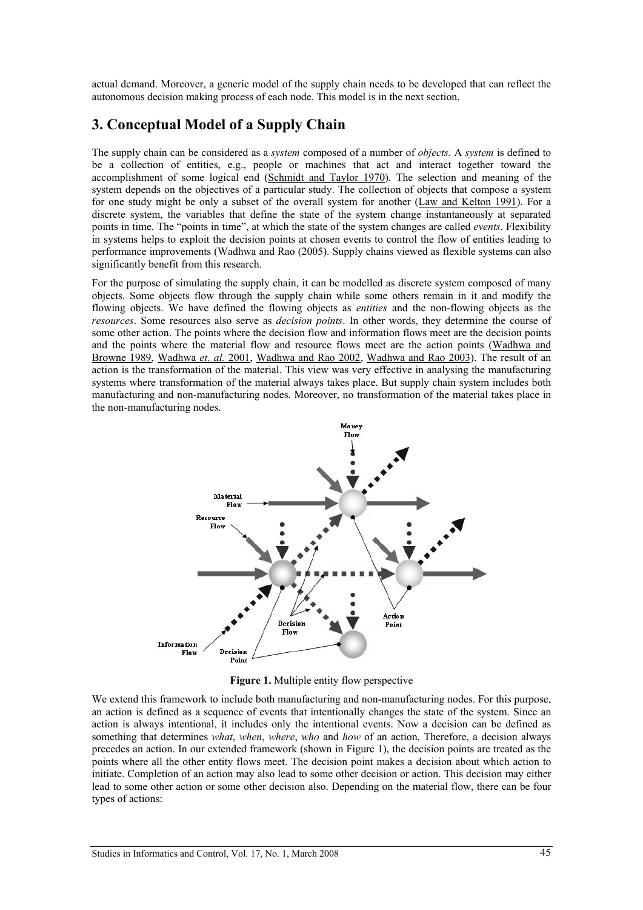actual demand. Moreover, a generic model of the supply chain needs to be developed that can reflect the autonomous decision making process of each node. This model is in the next section.

## **3. Conceptual Model of a Supply Chain**

The supply chain can be considered as a *system* composed of a number of *objects*. A *system* is defined to be a collection of entities, e.g., people or machines that act and interact together toward the accomplishment of some logical end (Schmidt and Taylor 1970). The selection and meaning of the system depends on the objectives of a particular study. The collection of objects that compose a system for one study might be only a subset of the overall system for another (Law and Kelton 1991). For a discrete system, the variables that define the state of the system change instantaneously at separated points in time. The "points in time", at which the state of the system changes are called *events*. Flexibility in systems helps to exploit the decision points at chosen events to control the flow of entities leading to performance improvements (Wadhwa and Rao (2005). Supply chains viewed as flexible systems can also significantly benefit from this research.

For the purpose of simulating the supply chain, it can be modelled as discrete system composed of many objects. Some objects flow through the supply chain while some others remain in it and modify the flowing objects. We have defined the flowing objects as *entities* and the non-flowing objects as the *resources*. Some resources also serve as *decision points*. In other words, they determine the course of some other action. The points where the decision flow and information flows meet are the decision points and the points where the material flow and resource flows meet are the action points (Wadhwa and Browne 1989, Wadhwa *et. al.* 2001, Wadhwa and Rao 2002, Wadhwa and Rao 2003). The result of an action is the transformation of the material. This view was very effective in analysing the manufacturing systems where transformation of the material always takes place. But supply chain system includes both manufacturing and non-manufacturing nodes. Moreover, no transformation of the material takes place in the non-manufacturing nodes.



**Figure 1.** Multiple entity flow perspective

We extend this framework to include both manufacturing and non-manufacturing nodes. For this purpose, an action is defined as a sequence of events that intentionally changes the state of the system. Since an action is always intentional, it includes only the intentional events. Now a decision can be defined as something that determines *what*, *when*, *where*, *who* and *how* of an action. Therefore, a decision always precedes an action. In our extended framework (shown in Figure 1), the decision points are treated as the points where all the other entity flows meet. The decision point makes a decision about which action to initiate. Completion of an action may also lead to some other decision or action. This decision may either lead to some other action or some other decision also. Depending on the material flow, there can be four types of actions: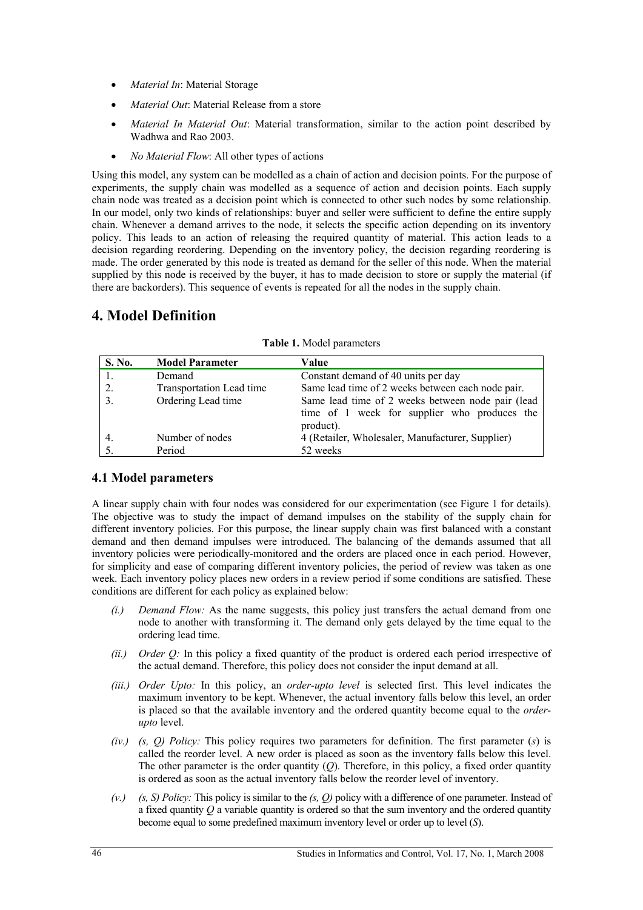- *Material In*: Material Storage
- *Material Out*: Material Release from a store
- *Material In Material Out*: Material transformation, similar to the action point described by Wadhwa and Rao 2003.
- *No Material Flow*: All other types of actions

Using this model, any system can be modelled as a chain of action and decision points. For the purpose of experiments, the supply chain was modelled as a sequence of action and decision points. Each supply chain node was treated as a decision point which is connected to other such nodes by some relationship. In our model, only two kinds of relationships: buyer and seller were sufficient to define the entire supply chain. Whenever a demand arrives to the node, it selects the specific action depending on its inventory policy. This leads to an action of releasing the required quantity of material. This action leads to a decision regarding reordering. Depending on the inventory policy, the decision regarding reordering is made. The order generated by this node is treated as demand for the seller of this node. When the material supplied by this node is received by the buyer, it has to made decision to store or supply the material (if there are backorders). This sequence of events is repeated for all the nodes in the supply chain.

## **4. Model Definition**

| S. No.           | <b>Model Parameter</b>   | Value                                                                                                          |
|------------------|--------------------------|----------------------------------------------------------------------------------------------------------------|
|                  | Demand                   | Constant demand of 40 units per day                                                                            |
| 2.               | Transportation Lead time | Same lead time of 2 weeks between each node pair.                                                              |
| 3.               | Ordering Lead time       | Same lead time of 2 weeks between node pair (lead<br>time of 1 week for supplier who produces the<br>product). |
| $\overline{4}$ . | Number of nodes          | 4 (Retailer, Wholesaler, Manufacturer, Supplier)                                                               |
|                  | Period                   | 52 weeks                                                                                                       |

**Table 1.** Model parameters

### **4.1 Model parameters**

A linear supply chain with four nodes was considered for our experimentation (see Figure 1 for details). The objective was to study the impact of demand impulses on the stability of the supply chain for different inventory policies. For this purpose, the linear supply chain was first balanced with a constant demand and then demand impulses were introduced. The balancing of the demands assumed that all inventory policies were periodically-monitored and the orders are placed once in each period. However, for simplicity and ease of comparing different inventory policies, the period of review was taken as one week. Each inventory policy places new orders in a review period if some conditions are satisfied. These conditions are different for each policy as explained below:

- *(i.) Demand Flow:* As the name suggests, this policy just transfers the actual demand from one node to another with transforming it. The demand only gets delayed by the time equal to the ordering lead time.
- *(ii.) Order Q:* In this policy a fixed quantity of the product is ordered each period irrespective of the actual demand. Therefore, this policy does not consider the input demand at all.
- *(iii.) Order Upto:* In this policy, an *order-upto level* is selected first. This level indicates the maximum inventory to be kept. Whenever, the actual inventory falls below this level, an order is placed so that the available inventory and the ordered quantity become equal to the *orderupto* level.
- *(iv.) (s, Q) Policy:* This policy requires two parameters for definition. The first parameter (*s*) is called the reorder level. A new order is placed as soon as the inventory falls below this level. The other parameter is the order quantity  $(O)$ . Therefore, in this policy, a fixed order quantity is ordered as soon as the actual inventory falls below the reorder level of inventory.
- *(v.) (s, S) Policy:* This policy is similar to the *(s, Q)* policy with a difference of one parameter. Instead of a fixed quantity *Q* a variable quantity is ordered so that the sum inventory and the ordered quantity become equal to some predefined maximum inventory level or order up to level (*S*).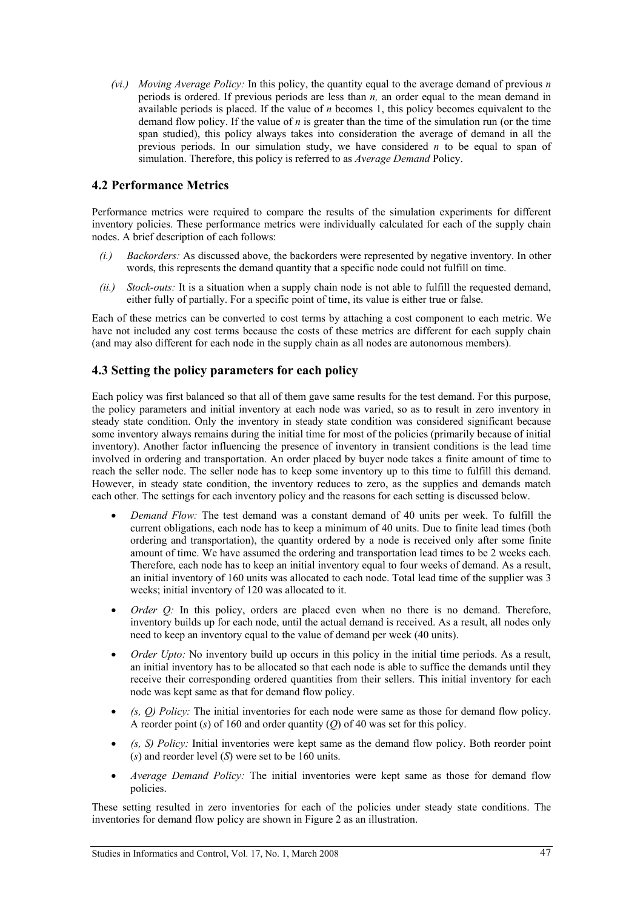*(vi.) Moving Average Policy:* In this policy, the quantity equal to the average demand of previous *n* periods is ordered. If previous periods are less than *n,* an order equal to the mean demand in available periods is placed. If the value of *n* becomes 1, this policy becomes equivalent to the demand flow policy. If the value of *n* is greater than the time of the simulation run (or the time span studied), this policy always takes into consideration the average of demand in all the previous periods. In our simulation study, we have considered *n* to be equal to span of simulation. Therefore, this policy is referred to as *Average Demand* Policy.

#### **4.2 Performance Metrics**

Performance metrics were required to compare the results of the simulation experiments for different inventory policies. These performance metrics were individually calculated for each of the supply chain nodes. A brief description of each follows:

- *(i.) Backorders:* As discussed above, the backorders were represented by negative inventory. In other words, this represents the demand quantity that a specific node could not fulfill on time.
- *(ii.) Stock-outs:* It is a situation when a supply chain node is not able to fulfill the requested demand, either fully of partially. For a specific point of time, its value is either true or false.

Each of these metrics can be converted to cost terms by attaching a cost component to each metric. We have not included any cost terms because the costs of these metrics are different for each supply chain (and may also different for each node in the supply chain as all nodes are autonomous members).

#### **4.3 Setting the policy parameters for each policy**

Each policy was first balanced so that all of them gave same results for the test demand. For this purpose, the policy parameters and initial inventory at each node was varied, so as to result in zero inventory in steady state condition. Only the inventory in steady state condition was considered significant because some inventory always remains during the initial time for most of the policies (primarily because of initial inventory). Another factor influencing the presence of inventory in transient conditions is the lead time involved in ordering and transportation. An order placed by buyer node takes a finite amount of time to reach the seller node. The seller node has to keep some inventory up to this time to fulfill this demand. However, in steady state condition, the inventory reduces to zero, as the supplies and demands match each other. The settings for each inventory policy and the reasons for each setting is discussed below.

- *Demand Flow:* The test demand was a constant demand of 40 units per week. To fulfill the current obligations, each node has to keep a minimum of 40 units. Due to finite lead times (both ordering and transportation), the quantity ordered by a node is received only after some finite amount of time. We have assumed the ordering and transportation lead times to be 2 weeks each. Therefore, each node has to keep an initial inventory equal to four weeks of demand. As a result, an initial inventory of 160 units was allocated to each node. Total lead time of the supplier was 3 weeks; initial inventory of 120 was allocated to it.
- *Order O:* In this policy, orders are placed even when no there is no demand. Therefore, inventory builds up for each node, until the actual demand is received. As a result, all nodes only need to keep an inventory equal to the value of demand per week (40 units).
- *Order Upto:* No inventory build up occurs in this policy in the initial time periods. As a result, an initial inventory has to be allocated so that each node is able to suffice the demands until they receive their corresponding ordered quantities from their sellers. This initial inventory for each node was kept same as that for demand flow policy.
- *(s, Q) Policy:* The initial inventories for each node were same as those for demand flow policy. A reorder point (*s*) of 160 and order quantity (*Q*) of 40 was set for this policy.
- *(s, S) Policy:* Initial inventories were kept same as the demand flow policy. Both reorder point (*s*) and reorder level (*S*) were set to be 160 units.
- *Average Demand Policy:* The initial inventories were kept same as those for demand flow policies.

These setting resulted in zero inventories for each of the policies under steady state conditions. The inventories for demand flow policy are shown in Figure 2 as an illustration.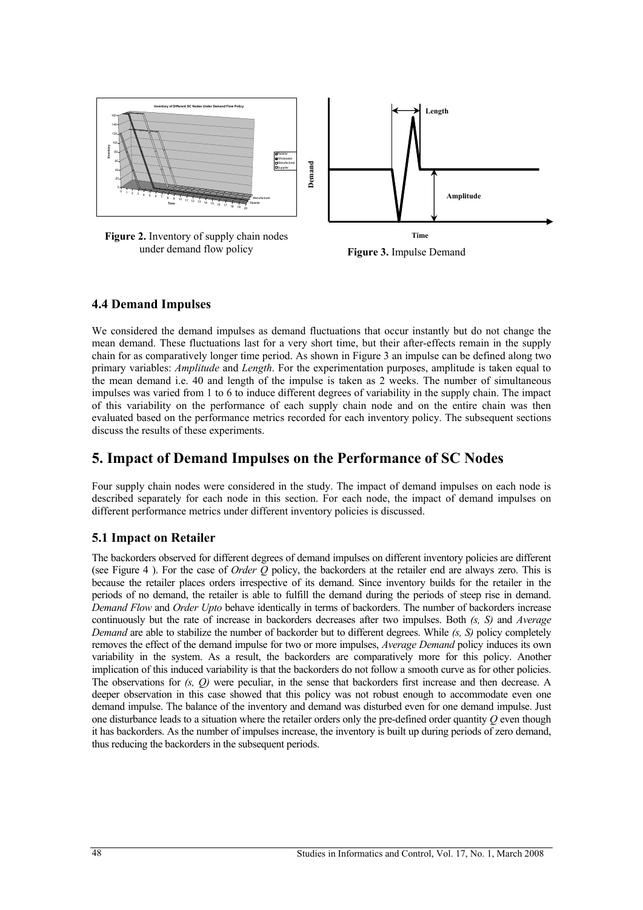

under demand flow policy **Figure 3.** Impulse Demand

#### **4.4 Demand Impulses**

We considered the demand impulses as demand fluctuations that occur instantly but do not change the mean demand. These fluctuations last for a very short time, but their after-effects remain in the supply chain for as comparatively longer time period. As shown in Figure 3 an impulse can be defined along two primary variables: *Amplitude* and *Length*. For the experimentation purposes, amplitude is taken equal to the mean demand i.e. 40 and length of the impulse is taken as 2 weeks. The number of simultaneous impulses was varied from 1 to 6 to induce different degrees of variability in the supply chain. The impact of this variability on the performance of each supply chain node and on the entire chain was then evaluated based on the performance metrics recorded for each inventory policy. The subsequent sections discuss the results of these experiments.

## **5. Impact of Demand Impulses on the Performance of SC Nodes**

Four supply chain nodes were considered in the study. The impact of demand impulses on each node is described separately for each node in this section. For each node, the impact of demand impulses on different performance metrics under different inventory policies is discussed.

### **5.1 Impact on Retailer**

The backorders observed for different degrees of demand impulses on different inventory policies are different (see Figure 4 ). For the case of *Order Q* policy, the backorders at the retailer end are always zero. This is because the retailer places orders irrespective of its demand. Since inventory builds for the retailer in the periods of no demand, the retailer is able to fulfill the demand during the periods of steep rise in demand. *Demand Flow* and *Order Upto* behave identically in terms of backorders. The number of backorders increase continuously but the rate of increase in backorders decreases after two impulses. Both *(s, S)* and *Average Demand* are able to stabilize the number of backorder but to different degrees. While *(s, S)* policy completely removes the effect of the demand impulse for two or more impulses, *Average Demand* policy induces its own variability in the system. As a result, the backorders are comparatively more for this policy. Another implication of this induced variability is that the backorders do not follow a smooth curve as for other policies. The observations for *(s, Q)* were peculiar, in the sense that backorders first increase and then decrease. A deeper observation in this case showed that this policy was not robust enough to accommodate even one demand impulse. The balance of the inventory and demand was disturbed even for one demand impulse. Just one disturbance leads to a situation where the retailer orders only the pre-defined order quantity *Q* even though it has backorders. As the number of impulses increase, the inventory is built up during periods of zero demand, **Example 12**<br> **Example 12**<br> **Example 12**<br> **Example 12**<br> **Example 12**<br> **Example 12**<br> **Example 12**<br> **Example 12**<br> **Example 12**<br> **Example 12**<br> **Example 12**<br> **Example 12**<br> **Example 12**<br> **Example 12**<br> **Example 12**<br> **Example 12**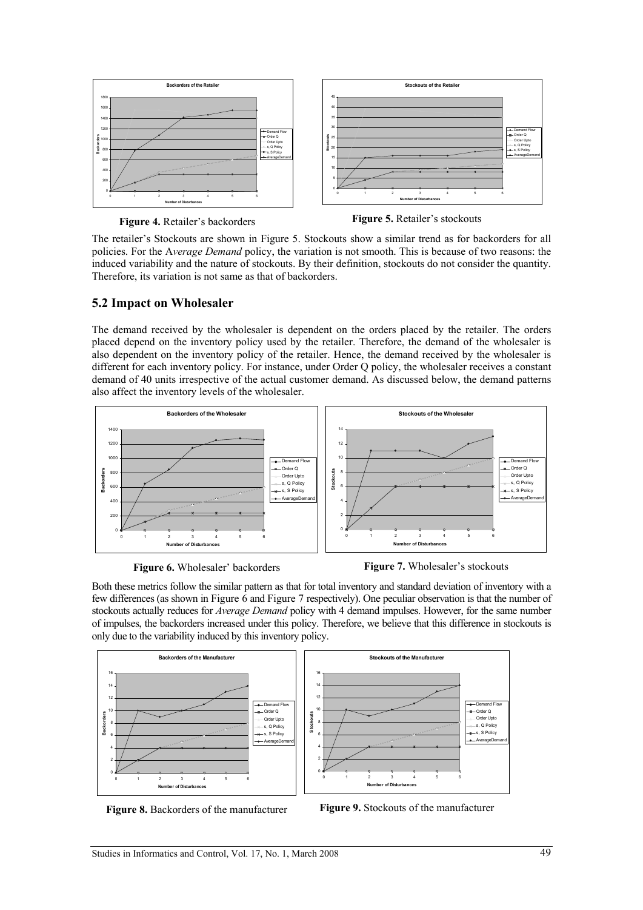

**Figure 4.** Retailer's backorders

**Figure 5.** Retailer's stockouts

The retailer's Stockouts are shown in Figure 5. Stockouts show a similar trend as for backorders for all policies. For the A*verage Demand* policy, the variation is not smooth. This is because of two reasons: the induced variability and the nature of stockouts. By their definition, stockouts do not consider the quantity. Therefore, its variation is not same as that of backorders.

#### **5.2 Impact on Wholesaler**

The demand received by the wholesaler is dependent on the orders placed by the retailer. The orders placed depend on the inventory policy used by the retailer. Therefore, the demand of the wholesaler is also dependent on the inventory policy of the retailer. Hence, the demand received by the wholesaler is different for each inventory policy. For instance, under Order Q policy, the wholesaler receives a constant demand of 40 units irrespective of the actual customer demand. As discussed below, the demand patterns also affect the inventory levels of the wholesaler.



**Figure 6.** Wholesaler' backorders



Both these metrics follow the similar pattern as that for total inventory and standard deviation of inventory with a few differences (as shown in Figure 6 and Figure 7 respectively). One peculiar observation is that the number of stockouts actually reduces for *Average Demand* policy with 4 demand impulses. However, for the same number of impulses, the backorders increased under this policy. Therefore, we believe that this difference in stockouts is only due to the variability induced by this inventory policy.



**Figure 8.** Backorders of the manufacturer

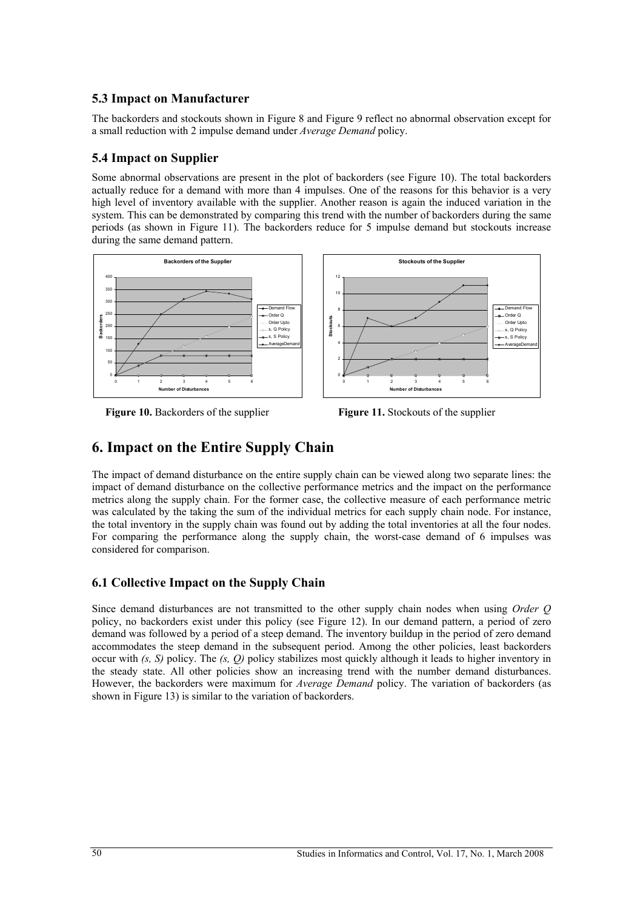### **5.3 Impact on Manufacturer**

The backorders and stockouts shown in Figure 8 and Figure 9 reflect no abnormal observation except for a small reduction with 2 impulse demand under *Average Demand* policy.

#### **5.4 Impact on Supplier**

Some abnormal observations are present in the plot of backorders (see Figure 10). The total backorders actually reduce for a demand with more than 4 impulses. One of the reasons for this behavior is a very high level of inventory available with the supplier. Another reason is again the induced variation in the system. This can be demonstrated by comparing this trend with the number of backorders during the same periods (as shown in Figure 11). The backorders reduce for 5 impulse demand but stockouts increase during the same demand pattern.



**Figure 10.** Backorders of the supplier

**Figure 11.** Stockouts of the supplier

## **6. Impact on the Entire Supply Chain**

The impact of demand disturbance on the entire supply chain can be viewed along two separate lines: the impact of demand disturbance on the collective performance metrics and the impact on the performance metrics along the supply chain. For the former case, the collective measure of each performance metric was calculated by the taking the sum of the individual metrics for each supply chain node. For instance, the total inventory in the supply chain was found out by adding the total inventories at all the four nodes. For comparing the performance along the supply chain, the worst-case demand of 6 impulses was considered for comparison.

### **6.1 Collective Impact on the Supply Chain**

Since demand disturbances are not transmitted to the other supply chain nodes when using *Order Q* policy, no backorders exist under this policy (see Figure 12). In our demand pattern, a period of zero demand was followed by a period of a steep demand. The inventory buildup in the period of zero demand accommodates the steep demand in the subsequent period. Among the other policies, least backorders occur with *(s, S)* policy. The *(s, Q)* policy stabilizes most quickly although it leads to higher inventory in the steady state. All other policies show an increasing trend with the number demand disturbances. However, the backorders were maximum for *Average Demand* policy. The variation of backorders (as shown in Figure 13) is similar to the variation of backorders.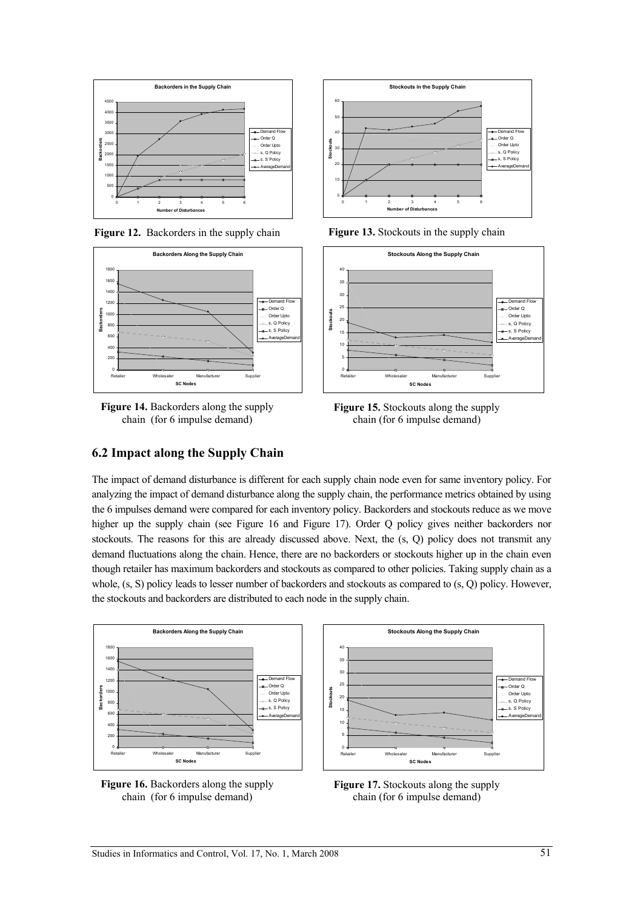

**Figure 12.** Backorders in the supply chain



**Figure 14.** Backorders along the supply chain (for 6 impulse demand)



**Figure 13.** Stockouts in the supply chain



**Figure 15.** Stockouts along the supply chain (for 6 impulse demand)

### **6.2 Impact along the Supply Chain**

The impact of demand disturbance is different for each supply chain node even for same inventory policy. For analyzing the impact of demand disturbance along the supply chain, the performance metrics obtained by using the 6 impulses demand were compared for each inventory policy. Backorders and stockouts reduce as we move higher up the supply chain (see Figure 16 and Figure 17). Order Q policy gives neither backorders nor stockouts. The reasons for this are already discussed above. Next, the (s, Q) policy does not transmit any demand fluctuations along the chain. Hence, there are no backorders or stockouts higher up in the chain even though retailer has maximum backorders and stockouts as compared to other policies. Taking supply chain as a whole, (s, S) policy leads to lesser number of backorders and stockouts as compared to (s, Q) policy. However, the stockouts and backorders are distributed to each node in the supply chain.





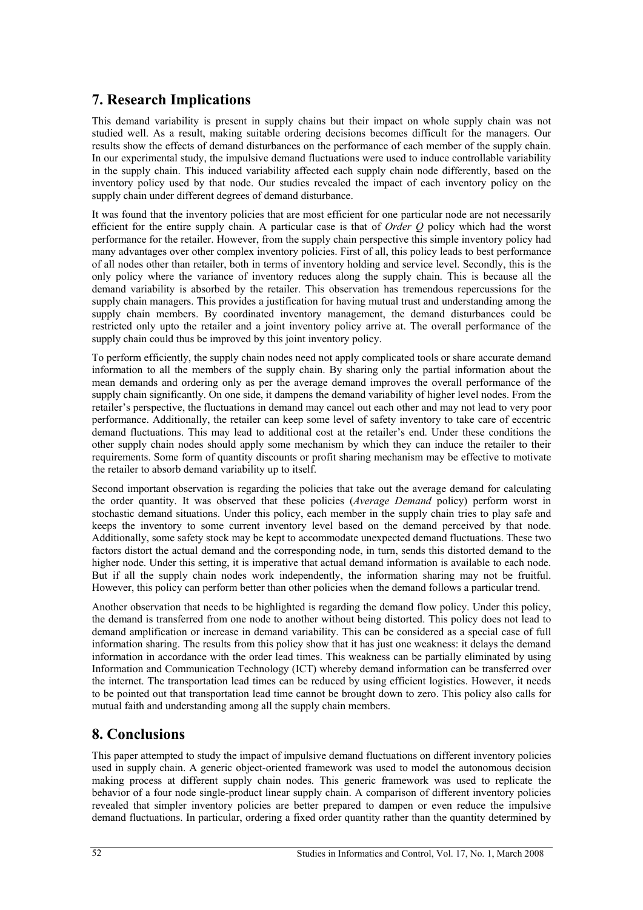## **7. Research Implications**

This demand variability is present in supply chains but their impact on whole supply chain was not studied well. As a result, making suitable ordering decisions becomes difficult for the managers. Our results show the effects of demand disturbances on the performance of each member of the supply chain. In our experimental study, the impulsive demand fluctuations were used to induce controllable variability in the supply chain. This induced variability affected each supply chain node differently, based on the inventory policy used by that node. Our studies revealed the impact of each inventory policy on the supply chain under different degrees of demand disturbance.

It was found that the inventory policies that are most efficient for one particular node are not necessarily efficient for the entire supply chain. A particular case is that of *Order Q* policy which had the worst performance for the retailer. However, from the supply chain perspective this simple inventory policy had many advantages over other complex inventory policies. First of all, this policy leads to best performance of all nodes other than retailer, both in terms of inventory holding and service level. Secondly, this is the only policy where the variance of inventory reduces along the supply chain. This is because all the demand variability is absorbed by the retailer. This observation has tremendous repercussions for the supply chain managers. This provides a justification for having mutual trust and understanding among the supply chain members. By coordinated inventory management, the demand disturbances could be restricted only upto the retailer and a joint inventory policy arrive at. The overall performance of the supply chain could thus be improved by this joint inventory policy.

To perform efficiently, the supply chain nodes need not apply complicated tools or share accurate demand information to all the members of the supply chain. By sharing only the partial information about the mean demands and ordering only as per the average demand improves the overall performance of the supply chain significantly. On one side, it dampens the demand variability of higher level nodes. From the retailer's perspective, the fluctuations in demand may cancel out each other and may not lead to very poor performance. Additionally, the retailer can keep some level of safety inventory to take care of eccentric demand fluctuations. This may lead to additional cost at the retailer's end. Under these conditions the other supply chain nodes should apply some mechanism by which they can induce the retailer to their requirements. Some form of quantity discounts or profit sharing mechanism may be effective to motivate the retailer to absorb demand variability up to itself.

Second important observation is regarding the policies that take out the average demand for calculating the order quantity. It was observed that these policies (*Average Demand* policy) perform worst in stochastic demand situations. Under this policy, each member in the supply chain tries to play safe and keeps the inventory to some current inventory level based on the demand perceived by that node. Additionally, some safety stock may be kept to accommodate unexpected demand fluctuations. These two factors distort the actual demand and the corresponding node, in turn, sends this distorted demand to the higher node. Under this setting, it is imperative that actual demand information is available to each node. But if all the supply chain nodes work independently, the information sharing may not be fruitful. However, this policy can perform better than other policies when the demand follows a particular trend.

Another observation that needs to be highlighted is regarding the demand flow policy. Under this policy, the demand is transferred from one node to another without being distorted. This policy does not lead to demand amplification or increase in demand variability. This can be considered as a special case of full information sharing. The results from this policy show that it has just one weakness: it delays the demand information in accordance with the order lead times. This weakness can be partially eliminated by using Information and Communication Technology (ICT) whereby demand information can be transferred over the internet. The transportation lead times can be reduced by using efficient logistics. However, it needs to be pointed out that transportation lead time cannot be brought down to zero. This policy also calls for mutual faith and understanding among all the supply chain members.

## **8. Conclusions**

This paper attempted to study the impact of impulsive demand fluctuations on different inventory policies used in supply chain. A generic object-oriented framework was used to model the autonomous decision making process at different supply chain nodes. This generic framework was used to replicate the behavior of a four node single-product linear supply chain. A comparison of different inventory policies revealed that simpler inventory policies are better prepared to dampen or even reduce the impulsive demand fluctuations. In particular, ordering a fixed order quantity rather than the quantity determined by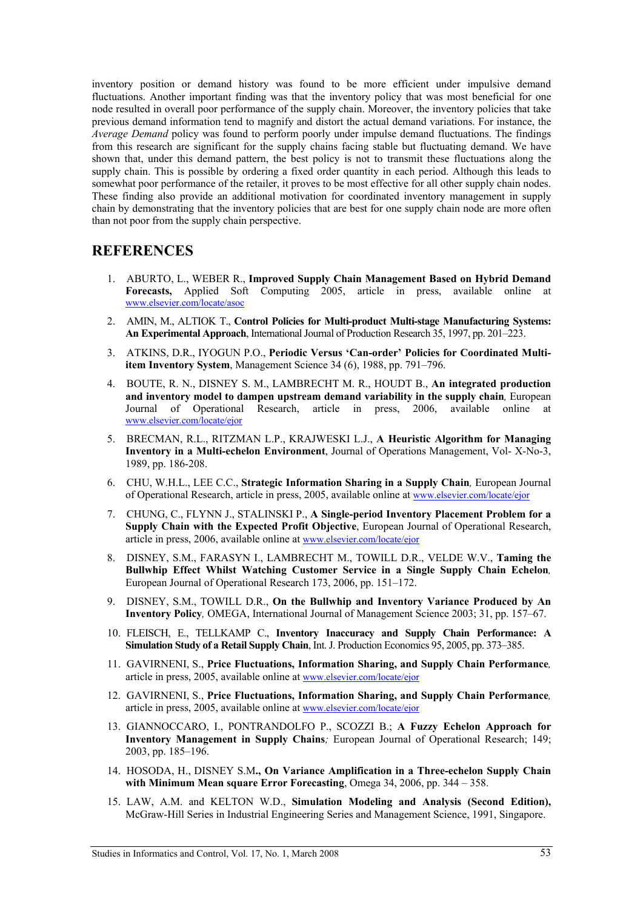inventory position or demand history was found to be more efficient under impulsive demand fluctuations. Another important finding was that the inventory policy that was most beneficial for one node resulted in overall poor performance of the supply chain. Moreover, the inventory policies that take previous demand information tend to magnify and distort the actual demand variations. For instance, the *Average Demand* policy was found to perform poorly under impulse demand fluctuations. The findings from this research are significant for the supply chains facing stable but fluctuating demand. We have shown that, under this demand pattern, the best policy is not to transmit these fluctuations along the supply chain. This is possible by ordering a fixed order quantity in each period. Although this leads to somewhat poor performance of the retailer, it proves to be most effective for all other supply chain nodes. These finding also provide an additional motivation for coordinated inventory management in supply chain by demonstrating that the inventory policies that are best for one supply chain node are more often than not poor from the supply chain perspective.

### **REFERENCES**

- 1. ABURTO, L., WEBER R., **Improved Supply Chain Management Based on Hybrid Demand Forecasts,** Applied Soft Computing 2005, article in press, available online at www.elsevier.com/locate/asoc
- 2. AMIN, M., ALTIOK T., **Control Policies for Multi-product Multi-stage Manufacturing Systems: An Experimental Approach**, International Journal of Production Research 35, 1997, pp. 201–223.
- 3. ATKINS, D.R., IYOGUN P.O., **Periodic Versus 'Can-order' Policies for Coordinated Multiitem Inventory System**, Management Science 34 (6), 1988, pp. 791–796.
- 4. BOUTE, R. N., DISNEY S. M., LAMBRECHT M. R., HOUDT B., **An integrated production and inventory model to dampen upstream demand variability in the supply chain***,* European Journal of Operational Research, article in press, 2006, available online at www.elsevier.com/locate/ejor
- 5. BRECMAN, R.L., RITZMAN L.P., KRAJWESKI L.J., **A Heuristic Algorithm for Managing Inventory in a Multi-echelon Environment**, Journal of Operations Management, Vol- X-No-3, 1989, pp. 186-208.
- 6. CHU, W.H.L., LEE C.C., **Strategic Information Sharing in a Supply Chain***,* European Journal of Operational Research, article in press, 2005, available online at www.elsevier.com/locate/ejor
- 7. CHUNG, C., FLYNN J., STALINSKI P., **A Single-period Inventory Placement Problem for a Supply Chain with the Expected Profit Objective**, European Journal of Operational Research, article in press, 2006, available online at www.elsevier.com/locate/ejor
- 8. DISNEY, S.M., FARASYN I., LAMBRECHT M., TOWILL D.R., VELDE W.V., **Taming the Bullwhip Effect Whilst Watching Customer Service in a Single Supply Chain Echelon***,*  European Journal of Operational Research 173, 2006, pp. 151–172.
- 9. DISNEY, S.M., TOWILL D.R., **On the Bullwhip and Inventory Variance Produced by An Inventory Policy***,* OMEGA, International Journal of Management Science 2003; 31, pp. 157–67.
- 10. FLEISCH, E., TELLKAMP C., **Inventory Inaccuracy and Supply Chain Performance: A Simulation Study of a Retail Supply Chain**, Int. J. Production Economics 95, 2005, pp. 373–385.
- 11. GAVIRNENI, S., **Price Fluctuations, Information Sharing, and Supply Chain Performance***,* article in press, 2005, available online at www.elsevier.com/locate/ejor
- 12. GAVIRNENI, S., **Price Fluctuations, Information Sharing, and Supply Chain Performance***,* article in press, 2005, available online at www.elsevier.com/locate/ejor
- 13. GIANNOCCARO, I., PONTRANDOLFO P., SCOZZI B.; **A Fuzzy Echelon Approach for Inventory Management in Supply Chains***;* European Journal of Operational Research; 149; 2003, pp. 185–196.
- 14. HOSODA, H., DISNEY S.M**., On Variance Amplification in a Three-echelon Supply Chain with Minimum Mean square Error Forecasting**, Omega 34, 2006, pp. 344 – 358.
- 15. LAW, A.M. and KELTON W.D., **Simulation Modeling and Analysis (Second Edition),** McGraw-Hill Series in Industrial Engineering Series and Management Science, 1991, Singapore.